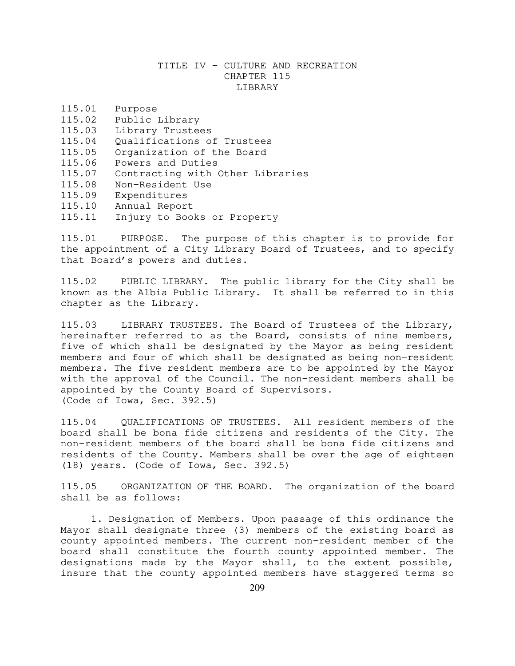## TITLE IV - CULTURE AND RECREATION CHAPTER 115 LIBRARY

| 115.01 | Purpose                          |
|--------|----------------------------------|
| 115.02 | Public Library                   |
| 115.03 | Library Trustees                 |
| 115.04 | Qualifications of Trustees       |
| 115.05 | Organization of the Board        |
| 115.06 | Powers and Duties                |
| 115.07 | Contracting with Other Libraries |
| 115.08 | Non-Resident Use                 |
| 115.09 | Expenditures                     |
| 115.10 | Annual Report                    |
| 115.11 | Injury to Books or Property      |

115.01 PURPOSE. The purpose of this chapter is to provide for the appointment of a City Library Board of Trustees, and to specify that Board's powers and duties.

115.02 PUBLIC LIBRARY. The public library for the City shall be known as the Albia Public Library. It shall be referred to in this chapter as the Library.

115.03 LIBRARY TRUSTEES. The Board of Trustees of the Library, hereinafter referred to as the Board, consists of nine members, five of which shall be designated by the Mayor as being resident members and four of which shall be designated as being non-resident members. The five resident members are to be appointed by the Mayor with the approval of the Council. The non-resident members shall be appointed by the County Board of Supervisors. (Code of Iowa, Sec. 392.5)

115.04 QUALIFICATIONS OF TRUSTEES. All resident members of the board shall be bona fide citizens and residents of the City. The non-resident members of the board shall be bona fide citizens and residents of the County. Members shall be over the age of eighteen (18) years. (Code of Iowa, Sec. 392.5)

115.05 ORGANIZATION OF THE BOARD. The organization of the board shall be as follows:

1. Designation of Members. Upon passage of this ordinance the Mayor shall designate three (3) members of the existing board as county appointed members. The current non-resident member of the board shall constitute the fourth county appointed member. The designations made by the Mayor shall, to the extent possible, insure that the county appointed members have staggered terms so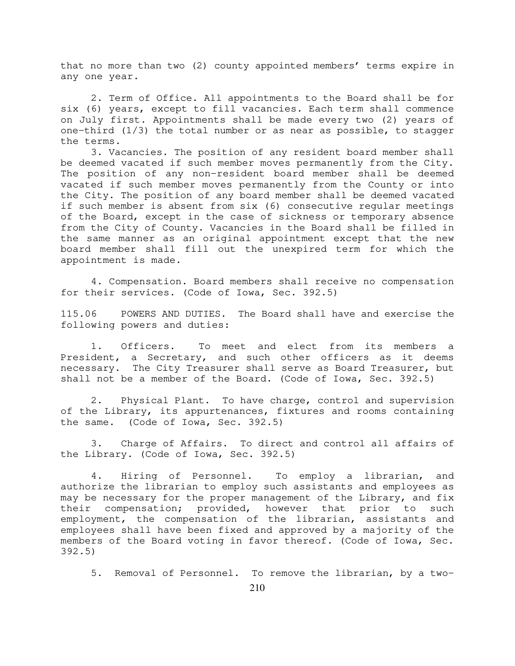that no more than two (2) county appointed members' terms expire in any one year.

2. Term of Office. All appointments to the Board shall be for six (6) years, except to fill vacancies. Each term shall commence on July first. Appointments shall be made every two (2) years of one-third  $(1/3)$  the total number or as near as possible, to stagger the terms.

3. Vacancies. The position of any resident board member shall be deemed vacated if such member moves permanently from the City. The position of any non-resident board member shall be deemed vacated if such member moves permanently from the County or into the City. The position of any board member shall be deemed vacated if such member is absent from six (6) consecutive regular meetings of the Board, except in the case of sickness or temporary absence from the City of County. Vacancies in the Board shall be filled in the same manner as an original appointment except that the new board member shall fill out the unexpired term for which the appointment is made.

4. Compensation. Board members shall receive no compensation for their services. (Code of Iowa, Sec. 392.5)

115.06 POWERS AND DUTIES. The Board shall have and exercise the following powers and duties:

 1. Officers. To meet and elect from its members a President, a Secretary, and such other officers as it deems necessary. The City Treasurer shall serve as Board Treasurer, but shall not be a member of the Board. (Code of Iowa, Sec. 392.5)

 2. Physical Plant. To have charge, control and supervision of the Library, its appurtenances, fixtures and rooms containing the same. (Code of Iowa, Sec. 392.5)

 3. Charge of Affairs. To direct and control all affairs of the Library. (Code of Iowa, Sec. 392.5)

 4. Hiring of Personnel. To employ a librarian, and authorize the librarian to employ such assistants and employees as may be necessary for the proper management of the Library, and fix their compensation; provided, however that prior to such employment, the compensation of the librarian, assistants and employees shall have been fixed and approved by a majority of the members of the Board voting in favor thereof. (Code of Iowa, Sec. 392.5)

5. Removal of Personnel. To remove the librarian, by a two-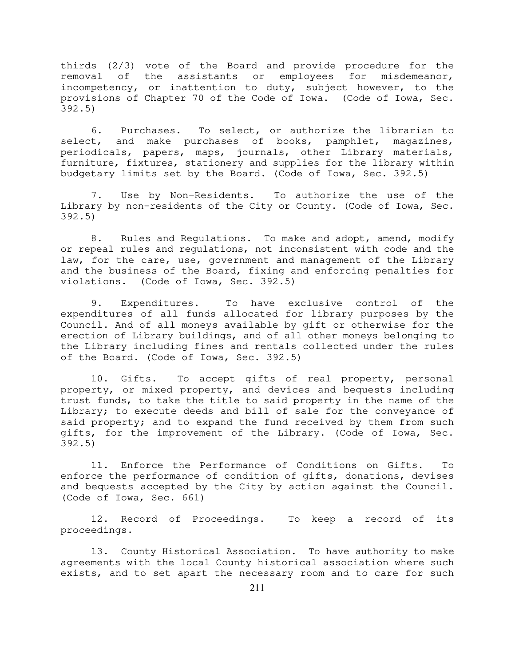thirds (2/3) vote of the Board and provide procedure for the removal of the assistants or employees for misdemeanor, incompetency, or inattention to duty, subject however, to the provisions of Chapter 70 of the Code of Iowa. (Code of Iowa, Sec. 392.5)

 6. Purchases. To select, or authorize the librarian to select, and make purchases of books, pamphlet, magazines, periodicals, papers, maps, journals, other Library materials, furniture, fixtures, stationery and supplies for the library within budgetary limits set by the Board. (Code of Iowa, Sec. 392.5)

 7. Use by Non-Residents. To authorize the use of the Library by non-residents of the City or County. (Code of Iowa, Sec. 392.5)

8. Rules and Regulations. To make and adopt, amend, modify or repeal rules and regulations, not inconsistent with code and the law, for the care, use, government and management of the Library and the business of the Board, fixing and enforcing penalties for violations. (Code of Iowa, Sec. 392.5)

 9. Expenditures. To have exclusive control of the expenditures of all funds allocated for library purposes by the Council. And of all moneys available by gift or otherwise for the erection of Library buildings, and of all other moneys belonging to the Library including fines and rentals collected under the rules of the Board. (Code of Iowa, Sec. 392.5)

 10. Gifts. To accept gifts of real property, personal property, or mixed property, and devices and bequests including trust funds, to take the title to said property in the name of the Library; to execute deeds and bill of sale for the conveyance of said property; and to expand the fund received by them from such gifts, for the improvement of the Library. (Code of Iowa, Sec. 392.5)

 11. Enforce the Performance of Conditions on Gifts. To enforce the performance of condition of gifts, donations, devises and bequests accepted by the City by action against the Council. (Code of Iowa, Sec. 661)

 12. Record of Proceedings. To keep a record of its proceedings.

 13. County Historical Association. To have authority to make agreements with the local County historical association where such exists, and to set apart the necessary room and to care for such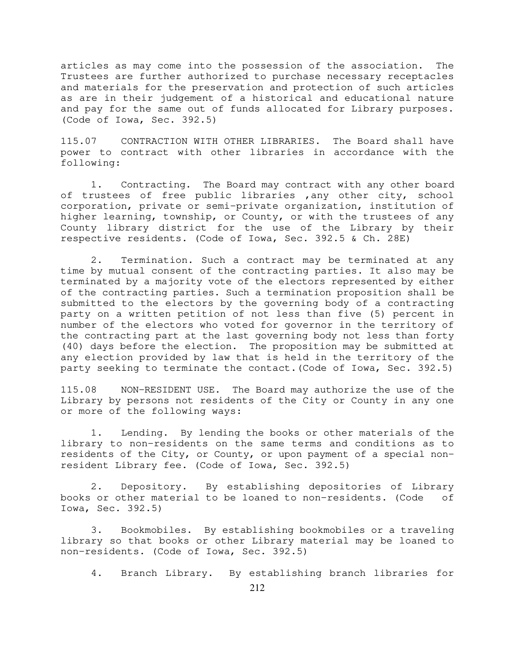articles as may come into the possession of the association. The Trustees are further authorized to purchase necessary receptacles and materials for the preservation and protection of such articles as are in their judgement of a historical and educational nature and pay for the same out of funds allocated for Library purposes. (Code of Iowa, Sec. 392.5)

115.07 CONTRACTION WITH OTHER LIBRARIES. The Board shall have power to contract with other libraries in accordance with the following:

 1. Contracting. The Board may contract with any other board of trustees of free public libraries ,any other city, school corporation, private or semi-private organization, institution of higher learning, township, or County, or with the trustees of any County library district for the use of the Library by their respective residents. (Code of Iowa, Sec. 392.5 & Ch. 28E)

 2. Termination. Such a contract may be terminated at any time by mutual consent of the contracting parties. It also may be terminated by a majority vote of the electors represented by either of the contracting parties. Such a termination proposition shall be submitted to the electors by the governing body of a contracting party on a written petition of not less than five (5) percent in number of the electors who voted for governor in the territory of the contracting part at the last governing body not less than forty (40) days before the election. The proposition may be submitted at any election provided by law that is held in the territory of the party seeking to terminate the contact.(Code of Iowa, Sec. 392.5)

115.08 NON-RESIDENT USE. The Board may authorize the use of the Library by persons not residents of the City or County in any one or more of the following ways:

 1. Lending. By lending the books or other materials of the library to non-residents on the same terms and conditions as to residents of the City, or County, or upon payment of a special nonresident Library fee. (Code of Iowa, Sec. 392.5)

 2. Depository. By establishing depositories of Library books or other material to be loaned to non-residents. (Code of Iowa, Sec. 392.5)

 3. Bookmobiles. By establishing bookmobiles or a traveling library so that books or other Library material may be loaned to non-residents. (Code of Iowa, Sec. 392.5)

4. Branch Library. By establishing branch libraries for